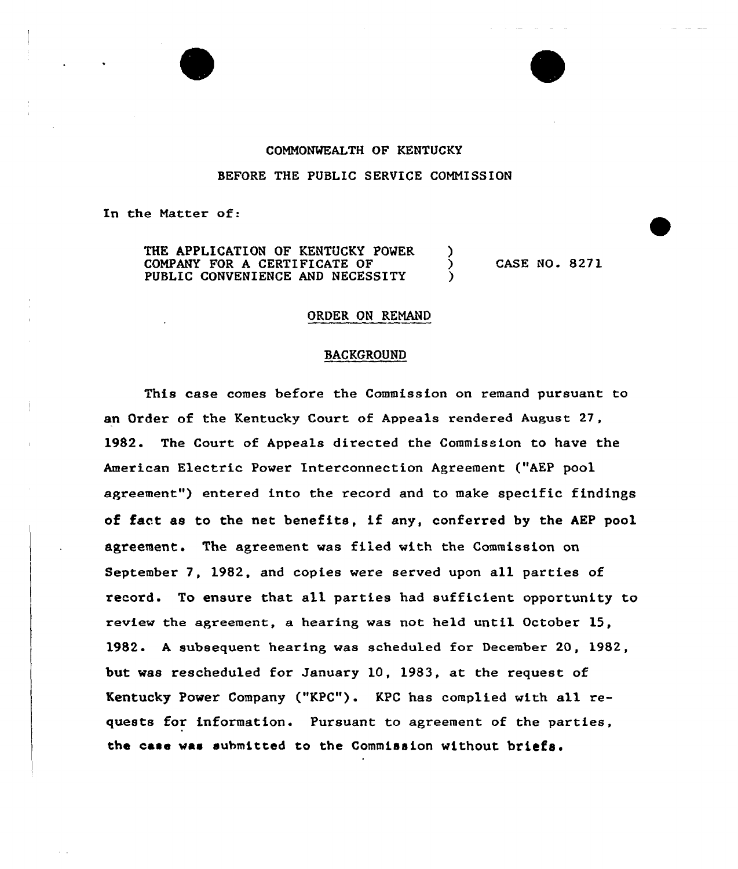## COMMONWEALTH OF KENTUCKY

#### BEFORE THE PUBLIC SERVICE COMMISSION

In the Matter of:

THE APPLICATION OF KENTUCKY POWER )<br>COMPANY FOR A CERTIFICATE OF ( COMPANY FOR <sup>A</sup> CERTIFICATE OF ) PUBLIC CONVENIENCE AND NECESSITY

CASE NO. 8271

#### ORDER ON REMAND

#### BACKGROUND

This case comes before the Commission on xemand pursuant to an Order of the Kentucky Court of Appeals rendered August 27, 1982. The Court of Appeals directed the Commission to have the American Electric Power Interconnection Agreement ("AEP pool agxeement") entered into the record and to make specific findings of fact as to the net benefits, if any, conferxed by the AEP pool agreement. The agreement vas filed vith the Commission on September 7, 1982, and copies were served upon all parties of record. To ensure that all parties had sufficient opportunity to review the agreement, a hearing was not held until October 15, 1982. <sup>A</sup> subsequent hearing vas scheduled for December 20, 1982, but vas rescheduled for January 10, 1983, at the request of Kentucky Power Company ("KPC"). KPC has complied with all requests for information. Pursuant to agreement of the parties, the case vas submitted to the Commission without briefs.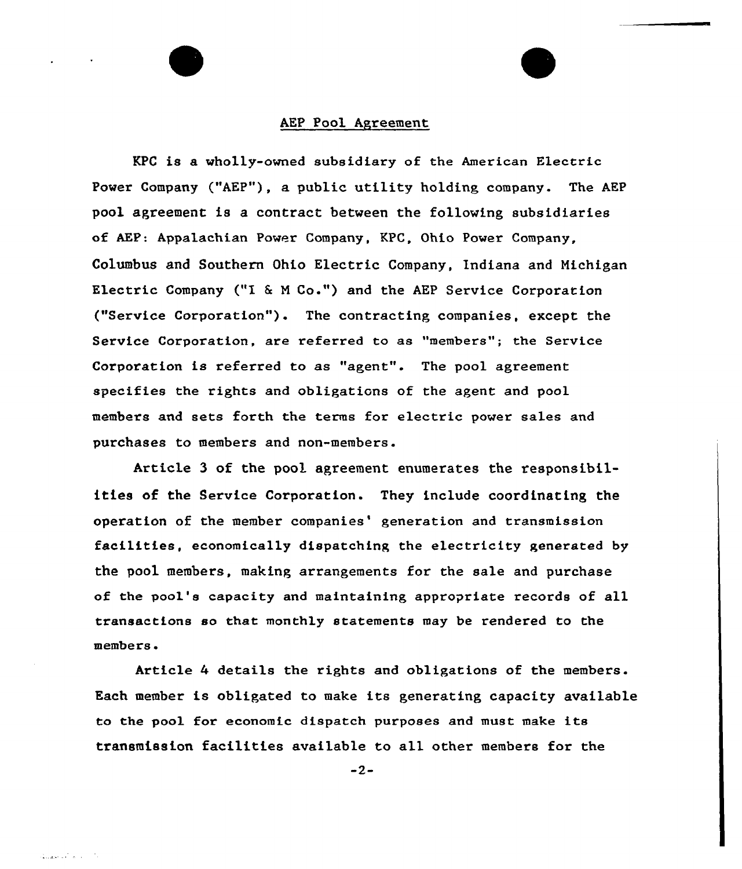#### AEP Pool Agreement

KPC is a wholly-owned subsidiary of the American Electric Power Company ("AEP"), a public utility holding company. The AEP pool agreement is a contract between the following subsidiaries of AEP: Appalachian Power Company, KPC, Ohio Power Company, Columbus and Southern Ohio Electric Company, Indiana and Nichigan Electric Company ("I & M Co.") and the AEP Service Corporation ("Service Corporation"). The contracting companies, except the Service Corporation, are referred to as "members"; the Service Corporation is referred to as "agent". The pool agreement specifies the rights and obligations of the agent and pool members and sets forth the terms for electric power sales and purchases to members and non-members.

Article 3 of the pool agreement enumerates the responsibilities of the Service Corporation. They include coordinating the operation of the member companies' generation and transmission facilities, economically dispatching the electricity generated by the pool members, making arrangements for the sale and purchase of the pool's capacity and maintaining appropriate records of all transactions so that monthly statements may be rendered to the members.

Article 4 details the rights and obligations of the members. Each member is obligated to make its generating capacity available to the pool for economic dispatch purposes and must make its transmission facilities available to all other members for the

 $-2-$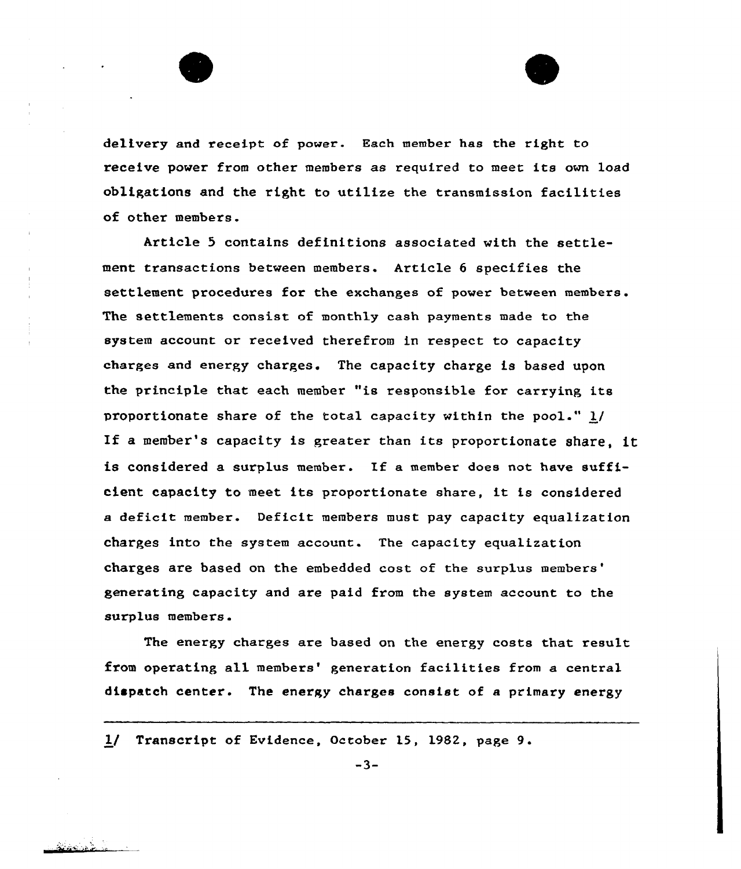

delivery and receipt of power. Each member has the right to receive power from other members as required to meet its own load obligations and the right to utilize the transmission facilities of other members.

Article 5 contains definitions associated with the settlement transactions between members. Article 6 specifies the settlement procedures for the exchanges of power between members. The settlements consist of monthly cash payments made to the system account or received therefrom in respect to capacity charges and energy charges. The capacity charge is based upon the principle that each member "is responsible for carrying its proportionate share of the total capacity within the pool." 1/ If <sup>a</sup> member's capacity is greater than its proportionate share, it is considered a surplus member. If a member does not have sufficient capacity to meet its proportionate share, it is considered a deficit member. Deficit members must pay capacity equalization charges into the system account. The capacity equalization charges are based on the embedded cost of the surplus generating capacity and are paid from the system account to the surplus members.

The energy charges are based on the energy costs that result from operating all members' generation facilities from a central dispatch center. The energy charges consist of a primary energy

1/ Transcript of Evidence, October 15, 1982, page 9.

 $-3-$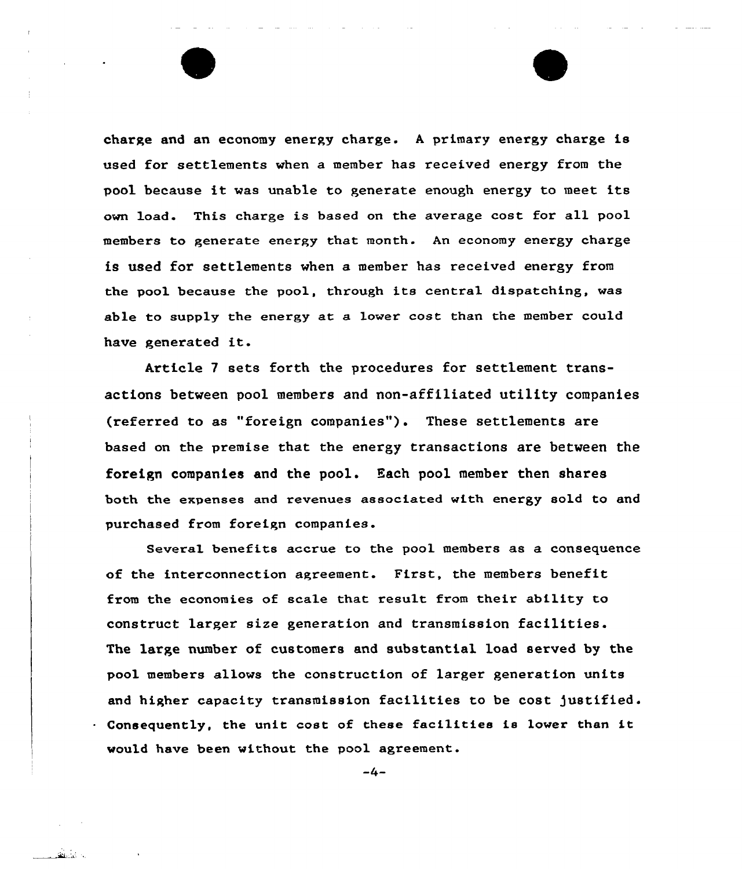charge and an economy energy charge. <sup>A</sup> primary energy charge is used for settlements when a member has received energy from the pool because it was unable to generate enough energy to meet its own load. This charge is based on the average cost for all pool members to generate energy that month. An economy energy charge is used for settlements when a member has received energy from the pool because the pool, through its central dispatching, was able to supply the energy at a lower cost than the member could have generated it.

Article 7 sets forth the procedures for settlement transactions between pool members and non-affiliated utility companies (referred to as "foreign companies"). These settlements are based on the premise that the energy transactions are between the foreign companies and the pool. Hach pool member then shares both the expenses and revenues associated with energy sold to and purchased from foreign companies.

Several benefits accrue to the pool members as a consequence of the interconnection agreement. First, the members benefit from the economies of scale that result from their ability to construct larger size generation and transmission facilities. The large number of customers and substantial load served by the pool members allows the construction of larger generation units and higher capacity transmission facilities to be cost justified. Consequently, the unit cost of these facilities is lower than it would have been without the pool agreement.

 $-4-$ 

والمتحفظ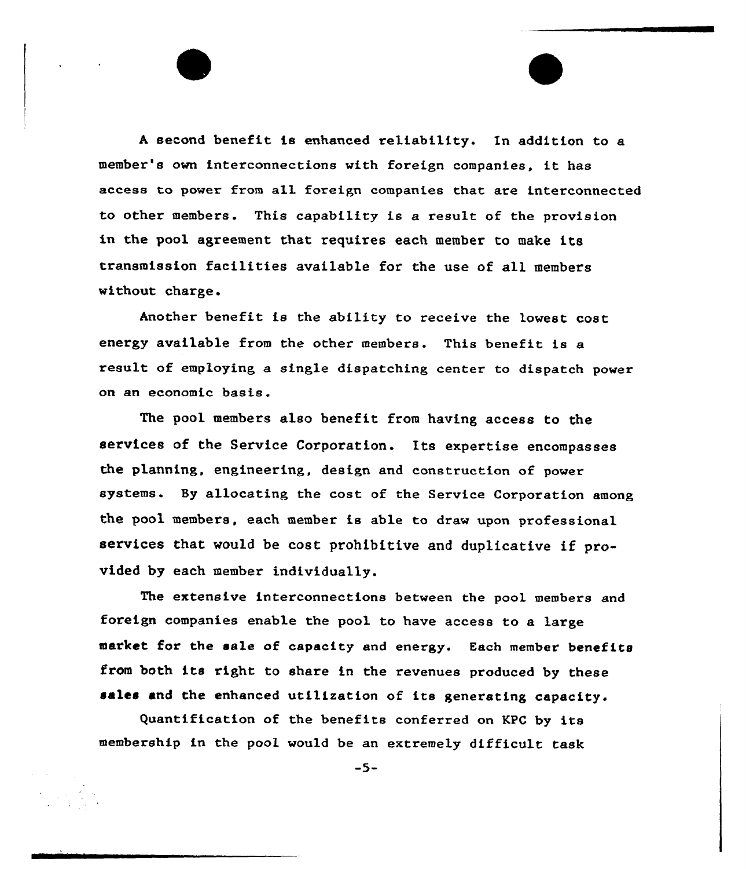<sup>A</sup> second benefit is enhanced reliability. In addition to a member's own interconnections with foreign companies, it has access to power from a11 foreign companies that are interconnected to other members. This capability is a result of the provision in the pool agreement that requires each member to make its transmission facilities available for the use of all members without charge.

Another benefit is the ability to receive the lowest cost energy available from the other members. This benefit is a result of employing a single dispatching center to dispatch power on an economic basis.

The pool members also benefit from having access to the services of the Service Corporation. Its expertise encompasses the planning, engineering, design and construction of power systems. By allocating the cost of the Service Corporation among the pool members, each member is able to draw upon professional services that would be cost prohibitive and duplicative if provided by each member individually.

The extensive interconnections between the pool members and foreign companies enable the pool to have access to a large market for the sale of capacity and energy. Each member benefits from both its right to share in the revenues produced by these sales and the enhanced utilization of its generating capacity.

Quantification of the benefits conferred on KPC by its membership in the pool would be an extremely difficult task

-5-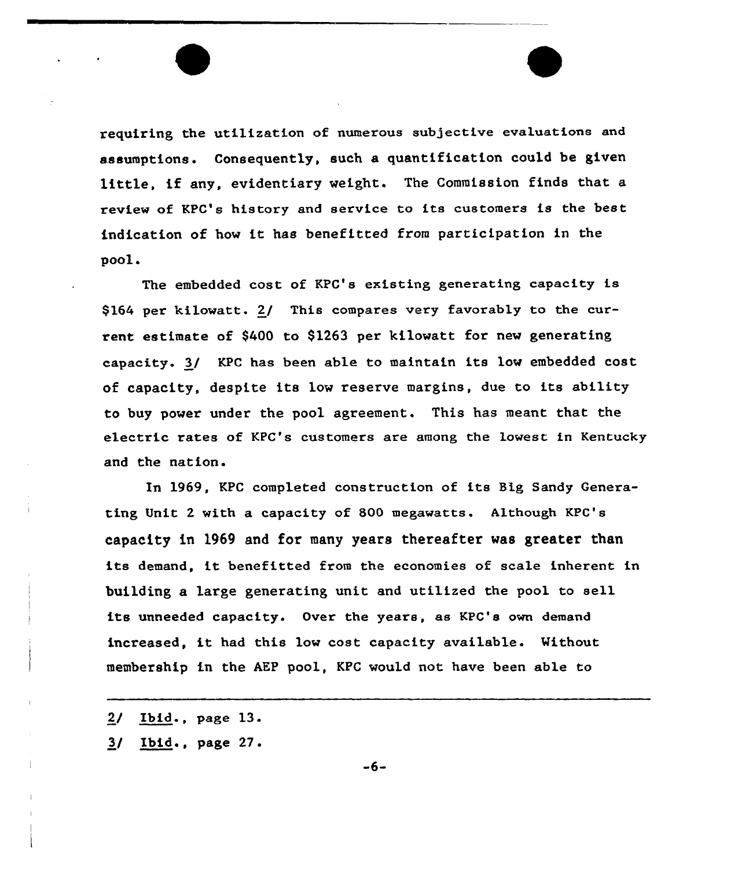requiring the utilization of numerous subjective evaluations and assumptions. Consequently, such a quantification could be given little, if any, evidentiary weight. The Commission finds that <sup>a</sup> review of KPC's history and service to its customers is the best indication of how it has benefitted from participation in the  $pool.$ 

The embedded cost of KPC's existing generating capacity is \$164 per kilowatt. 2/ This compares very favorably to the current estimate of \$400 to 91263 per kilowatt for new generating capacity. 3/ KPC has been able to maintain its low embedded cost of capacity, despite its low reserve margins, due to its ability to buy power under the pool agreement. This has meant that the electric rates of KPC's customers are among the lowest in Kentucky and the nation.

In 1969, KPC completed construction of its Big Sandy Generating Unit 2 with a capacity of 800 megawatts. Although KPC's capacity in 1969 and for many years thereafter was greater than its demand, it benefitted from the economies of scale inherent in building a large generating, unit and utilized the pool to sell its unneeded capacity. Over the years, as KPC's own demand increased, it had this low cost capacity available. Without membership in the AEP pool, KPC would not have been able to

2/ Ibid., page 13.

3/ Ibid., page 27.

 $-6-$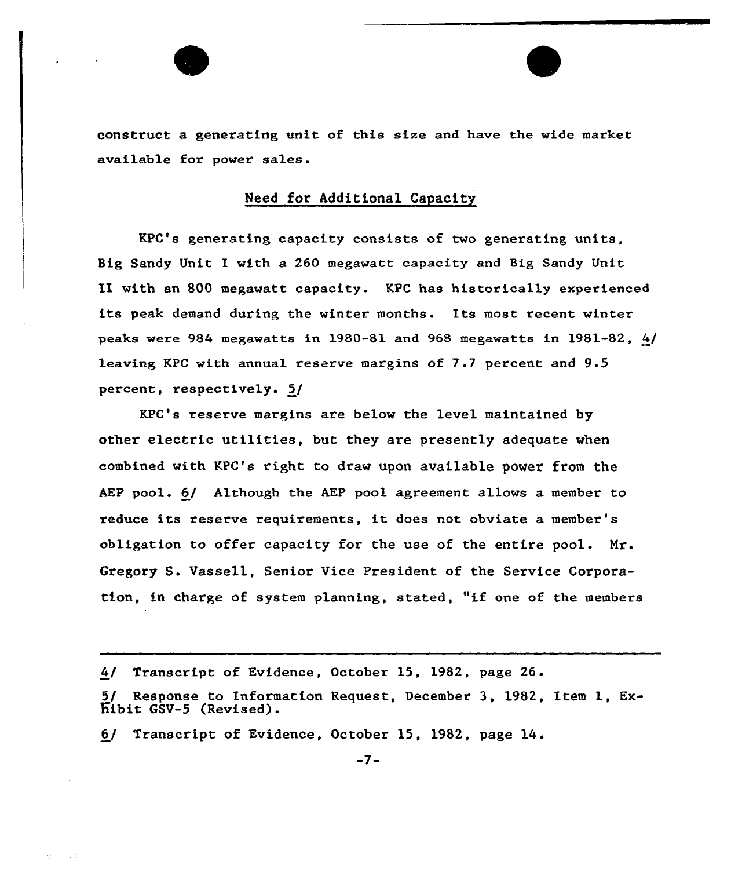construct a generating unit of this size and have the wide market available for power sales.

## Need for Additional Capacity

KPC's generating capacity consists of two generating units, Big Sandy Unit I with a 260 megawatt capacity and Big Sandy Unit II with an 800 megawatt capacity. KPC has historically experienced its peak demand during the winter months. Its most recent winter peaks were 984 megawatts in 1980-81 and 968 megawatts in 1981-82, 4/ leaving, KPC with annual reserve margins of 7.7 percent and 9-5 percent, respectively. 5/

KPC's reserve margins are below the level maintained by other electric utilities, but they are presently adequate when combined with KPC's right to draw upon available power from the AEP pool. 6/ Although the AEP pool agreement allows a member to reduce its reserve requirements, it does not obviate <sup>a</sup> member's obligation to offer capacity for the use of the entire pool.  $Mr.$ Gregory S. Vassell, Senior Vice President of the Service Corporation, in charge of system planning, stated, "if one of the members

4/ Transcript of Evidence, October 15, 1982, page 26.

6/ Transcript of Evidence, October 15, 1982, page 14.

<sup>5/</sup> Response to Information Request, December 3, 1982, Etem 1, Ex-Eibit GSV-5 (Revised}.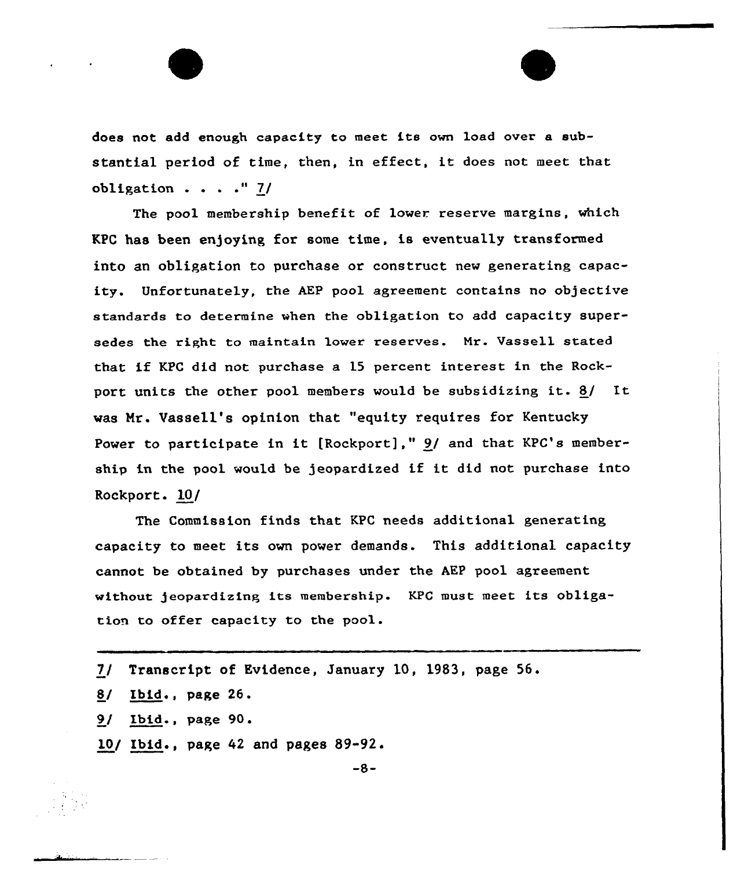does not add enough capacity to meet its own load over a substantial period of time, then, in effect, it does not meet that obligation . . . ." 7/

The pool membership benefit of lower reserve margins, which KPC has been enjoying for some time, is eventually transformed into an obligation to purchase or construct new generating capacity. Unfortunately, the AEP pool agreement contains no objective standards to determine when the obligation to add capacity supersedes the right to maintain lower reserves. Mr. Vassell stated that if KPC did not purchase <sup>a</sup> <sup>15</sup> percent interest in the Rockport units the other pool members would be subsidizing it.  $8/$  It was Hr. Vassell's opinion that "equity requires for Kentucky Power to participate in it [Rockport],"  $9/$  and that KPC's membership in the pool would be jeopardized if it did not purchase into Rockport. 10/

The Commission finds that KPC needs additional generating capacity to meet its own power demands. This additional capacity cannot be obtained by purchases under the AEP pool agreement without jeopardizing its membership. KPC must meet its obligation to offer capacity to the pool .

7/ Transcript of Evidence, January 10, 1983, page 56.  $8/$  Ibid., page 26. 9/ Ibid., page 90. 10/ Ibid., page 42 and pages 89-92.

-8-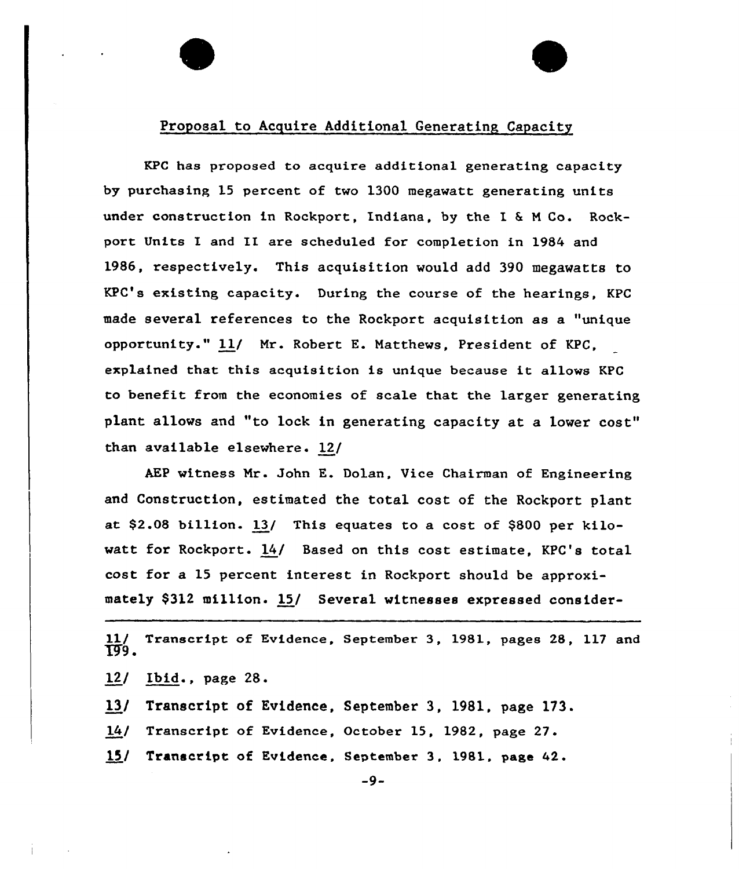## Proposal to Acquire Additional Generating Capacity

KPC has proposed to acquire additional generating capacity by purchasing 15 percent of two 1300 megawatt generating units under construction in Rockport, Indiana, by the I & M Co. Rockport Units I and II are scheduled for completion in 1984 and 1986, respectively. This acquisition would add 390 megawatts to KPC's existing capacity. During the course of the hearings, KPC made several references to the Rockport acquisition as a "unique opportunity." ll/ Mr. Robert E. Matthews, President of KPC, explained that this acquisition is unique because it allows KPC to benefit from the economies of scale that the larger generating plant allows and "to lock in generating capacity at a lower cost" than available elsewhere. 12/

AEP witness Mr. John E. Dolan, Vice Chairman of Engineering and Construction, estimated the total cost of the Rockport plant at \$2.08 billion. 13( This equates to a cost of \$800 per kilowatt for Rockport. 14/ Based on this cost estimate, KPC's total cost for a 15 percent interest in Rockport should be approximately \$312 million. 15/ Several witnesses expressed consider-

11/ Transcript of Evidence, September 3, 1981, pages 28, 117 and T99.

12/ Ibid., page 28.

13/ Transcript of Evidence, September 3, 1981, page 173.

14( Transcript of Evidence, October 15, 1982, page 27.

15/ Transcript of Evidence, September 3, 1981, page 42.

 $-9-$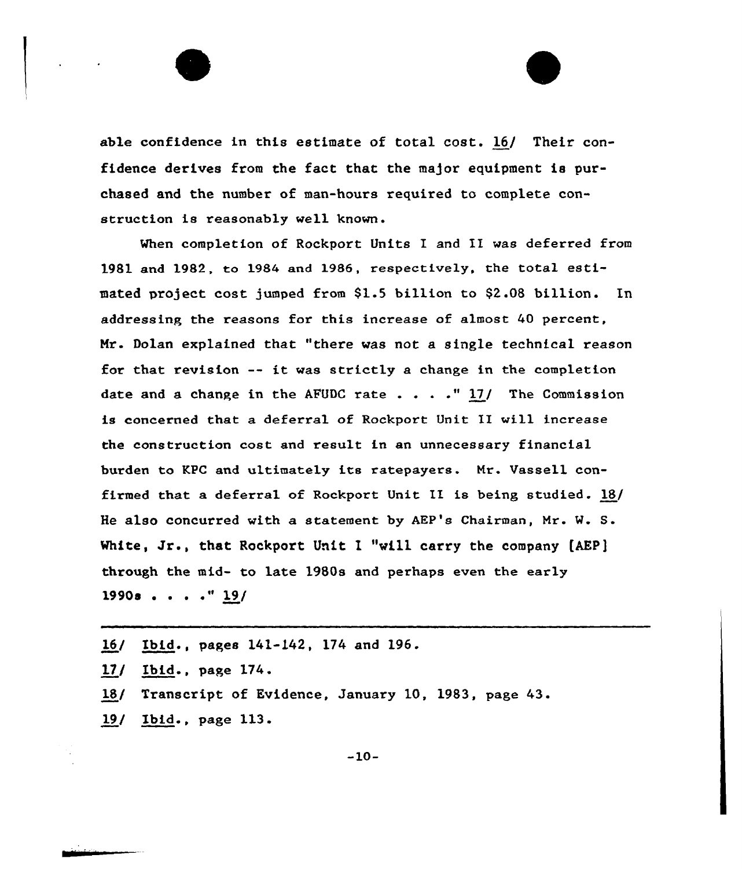

When completion of Rockport Units I and II was deferred from  $1981$  and  $1982$ , to  $1984$  and  $1986$ , respectively, the total estimated project cost jumped from 91.5 billion to \$2.08 billion. In addressing the reasons for this increase of almost 40 percent, Nr. Dolan explained that "there was not a single technical reason for that revision -- it was strictly <sup>a</sup> change in the completion date and a change in the AFUDC rate  $\ldots$  . . "17/ The Commission is concerned that a deferral of Rockport Unit II will increase the construction cost and result in an unnecessary financial bux'den to KPC and ultimately its ratepayers. Mr. Vassell confixmed that a deferral of Rockpoxt Unit II is being studied. 18/ He also concurred with a statement by AEP's Chairman, Mr. W. S. White, Jr., that Rockport Unit I "will carry the company  $[AEP]$ through the mid- to late 1980s and perhaps even the early 1990s . . . . " <u>19</u>/

- 16/ Ibid., pages 141-142, 174 and 196.
- 17/ Ibid., page 174.
- 18/ Transcript of Evidence, January 10, 1983, page 43.
- 19/ Ibid., page 113.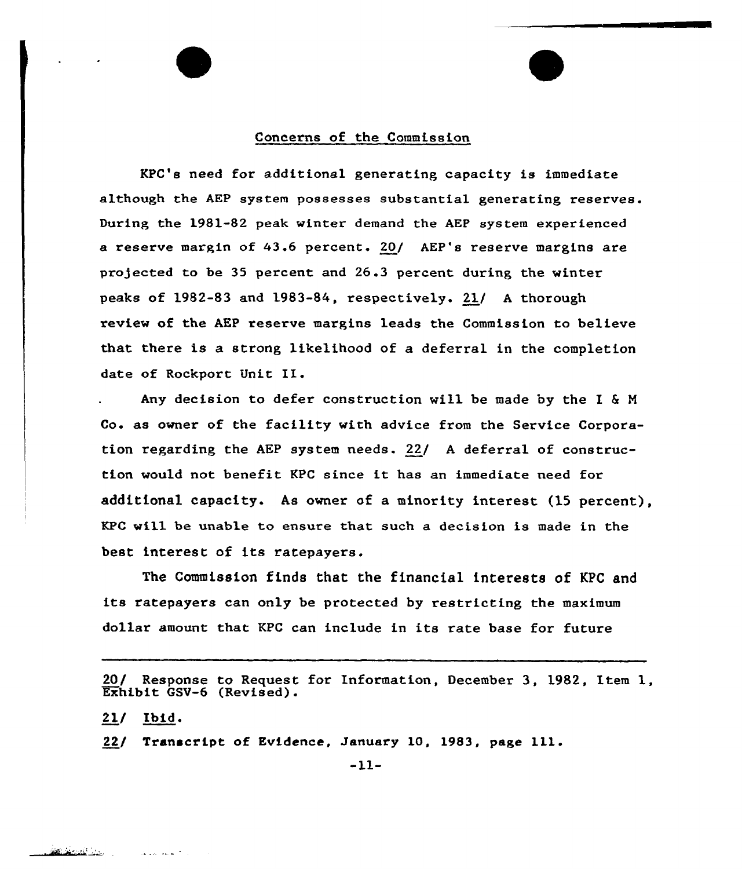### Concerns of the Commission

KPC's need for additional generating capacity is immediate although the AEP system possesses substantial generating reserves. During the 1981-82 peak winter demand the AEP system experienced a reserve margin of 43.6 percent. 20/ AEP's reserve margins are projected to be 35 percent and 26.3 percent during the winter peaks of 1982-83 and 1983-84, respectively. 21/ <sup>A</sup> thorough review of the AEP reserve margins leads the Commission to believe that there is a strong likelihood of a deferral in the completion date of Rockport Unit II.

Any decision to defer construction will be made by the I & <sup>M</sup> Co. as owner of the facility with advice from the Service Corporation regarding the AEP system needs. 22/ <sup>A</sup> deferral of construction would not benefit KPC since it has an immediate need for additional capacity. As owner of a minority interest (15 percent), KPC will be unable to ensure that such a decision is made in the best interest of its ratepayers.

The Commission finds that the financial interests of KPC and its ratepayers can only be protected by restricting the maximum dollar amount that KPC can include in its rate base for future

20/ Response to Request for Information, December 3, 1982, Item 1, Exhibit GSV-6 (Revised).

 $21/$  Ibid.

22/ Transcript of Evidence, January 10, 1983, page 111.

 $-11-$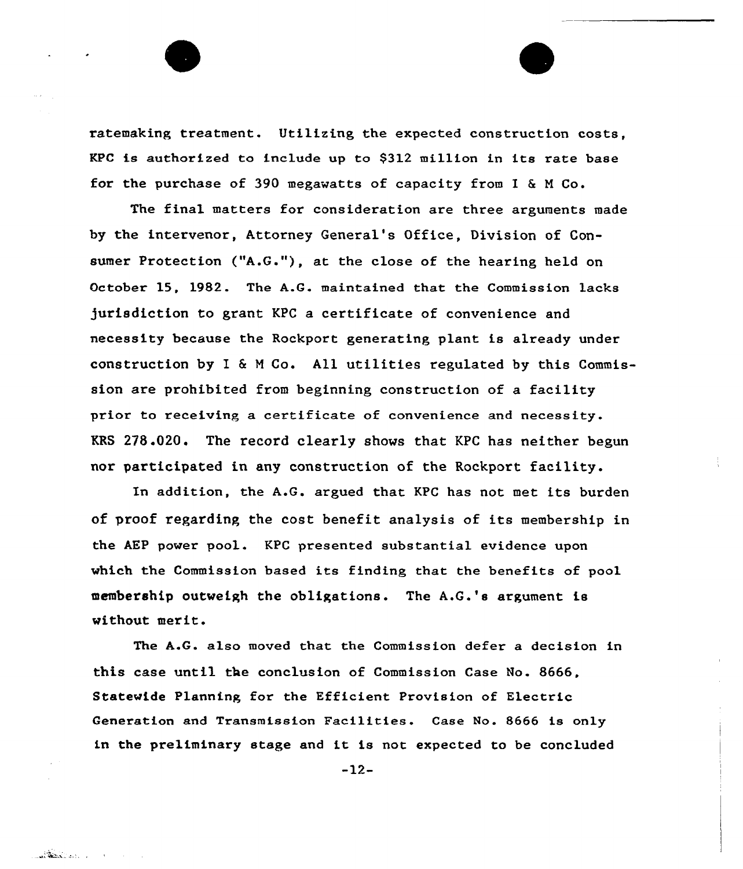ratemaking treatment. Utilizing the expected construction costs. KPC is authorized to include up to \$312 million in its rate base for the purchase of 390 megawatts of capacity from I  $\&$  M Co.

The final matters for consideration are three arguments made by the intervenor, Attorney General's Office, Division of Consumer Protection ("A.G."), at the close of the hearing held on October 15, 1982. The A.G. maintained that the Commission lacks )urisdiction to grant KPC a certificate of convenience and necessity because the Rockport generating plant is already under construction by I 6 <sup>N</sup> Co. All utilities regulated by this Commission are prohibited from beginning construction of a facility prior to receiving a certificate of convenience and necessity. KRS 278.020. The record clearly shows that KPC has neither begun nor participated in any construction of the Rockport facility.

In addition, the A.G. argued that KPC has not met its burden of proof regarding the cost benefit analysis of its membership in the AEP power pool. KPC presented substantial evidence upon which the Commission based its finding that the benefits of pool membership outweigh the obligations. The A.G.'s argument is without merit.

The A.G. also moved that the Commission defer a decision in this case until the conclusion of Commission Case No. 8666, Statewide Planning for the Efficient Provision of Electric Generation and Transmission Facilities. Case No. 8666 is only in the preliminary stage and it is not expected to be concluded

-12-

**Called State Line Commission**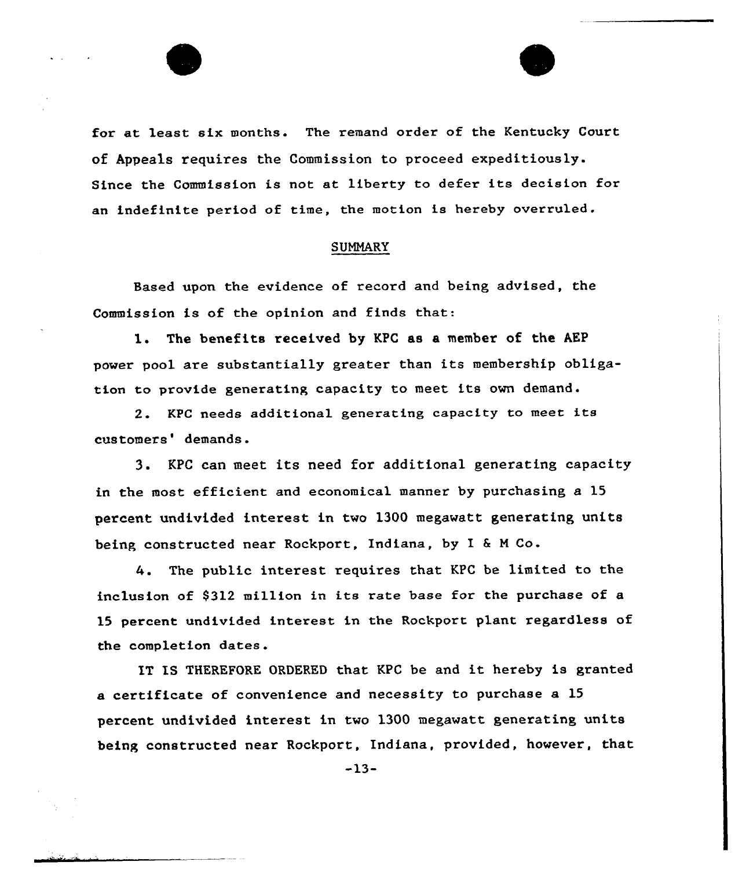

# **SUMMARY**

Based upon the evidence of record and being advised, the Commission is of the opinion and finds that:

1. The benefits received by KPC as <sup>a</sup> member of the AEP power pool are substantially greater than its membership obligation to provide generating capacity to meet its own demand.

2. KPC needs additional generating capacity to meet its customers' demands.

3. KPC can meet its need for additional generating capacity in the most efficient and economical manner by purchasing a 15 percent undivided interest in two 1300 megawatt generating units being constructed near Rockport, Indiana, by I <sup>6</sup> <sup>M</sup> Co.

The public interest requires that KPC be limited to the inclusion of 9312 million in its rate base for the purchase of a 15 percent undivided intexest in the Rockport plant xegardless of the completion dates.

IT IS THEREFORE ORDERED that KPC be and it hereby is granted a certificate of convenience and necessity to purchase a 15 percent undivided interest in two 1300 megawatt generating units being constructed near Rockport, Indiana, provided, however, that

 $-13-$